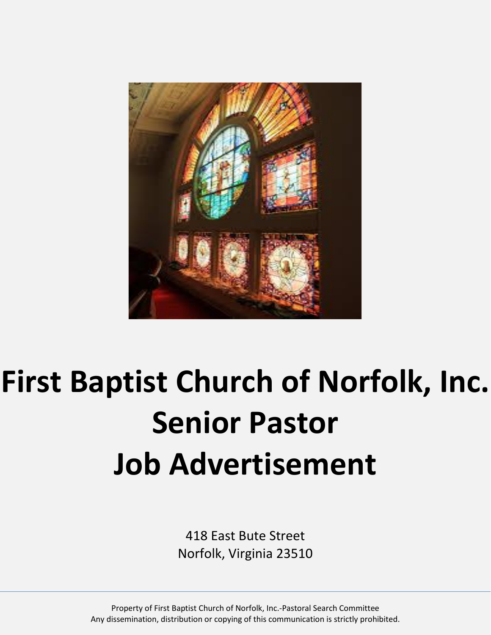

# **First Baptist Church of Norfolk, Inc. Senior Pastor Job Advertisement**

418 East Bute Street Norfolk, Virginia 23510

Property of First Baptist Church of Norfolk, Inc.-Pastoral Search Committee Any dissemination, distribution or copying of this communication is strictly prohibited.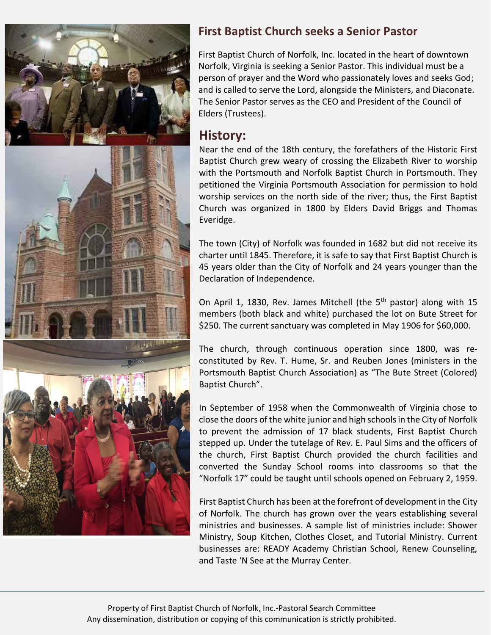



## **First Baptist Church seeks a Senior Pastor**

First Baptist Church of Norfolk, Inc. located in the heart of downtown Norfolk, Virginia is seeking a Senior Pastor. This individual must be a person of prayer and the Word who passionately loves and seeks God; and is called to serve the Lord, alongside the Ministers, and Diaconate. The Senior Pastor serves as the CEO and President of the Council of Elders (Trustees).

### **History:**

Near the end of the 18th century, the forefathers of the Historic First Baptist Church grew weary of crossing the Elizabeth River to worship with the Portsmouth and Norfolk Baptist Church in Portsmouth. They petitioned the Virginia Portsmouth Association for permission to hold worship services on the north side of the river; thus, the First Baptist Church was organized in 1800 by Elders David Briggs and Thomas Everidge.

The town (City) of Norfolk was founded in 1682 but did not receive its charter until 1845. Therefore, it is safe to say that First Baptist Church is 45 years older than the City of Norfolk and 24 years younger than the Declaration of Independence.

On April 1, 1830, Rev. James Mitchell (the 5<sup>th</sup> pastor) along with 15 members (both black and white) purchased the lot on Bute Street for \$250. The current sanctuary was completed in May 1906 for \$60,000.

The church, through continuous operation since 1800, was reconstituted by Rev. T. Hume, Sr. and Reuben Jones (ministers in the Portsmouth Baptist Church Association) as "The Bute Street (Colored) Baptist Church".

In September of 1958 when the Commonwealth of Virginia chose to close the doors of the white junior and high schools in the City of Norfolk to prevent the admission of 17 black students, First Baptist Church stepped up. Under the tutelage of Rev. E. Paul Sims and the officers of the church, First Baptist Church provided the church facilities and converted the Sunday School rooms into classrooms so that the "Norfolk 17" could be taught until schools opened on February 2, 1959.

First Baptist Church has been at the forefront of development in the City of Norfolk. The church has grown over the years establishing several ministries and businesses. A sample list of ministries include: Shower Ministry, Soup Kitchen, Clothes Closet, and Tutorial Ministry. Current businesses are: READY Academy Christian School, Renew Counseling, and Taste 'N See at the Murray Center.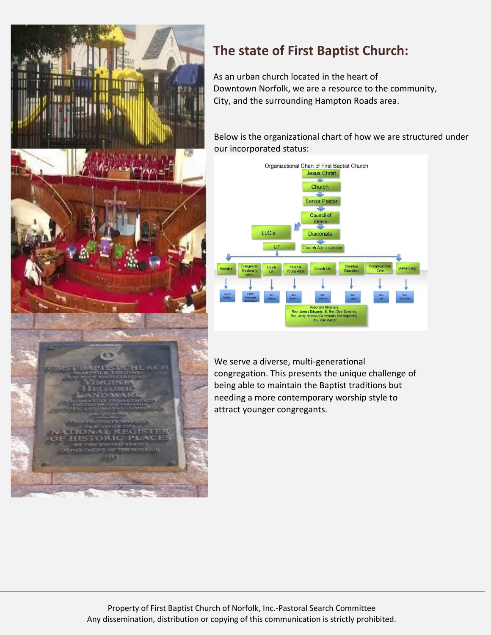

## **The state of First Baptist Church:**

As an urban church located in the heart of Downtown Norfolk, we are a resource to the community, City, and the surrounding Hampton Roads area.

Below is the organizational chart of how we are structured under our incorporated status:



We serve a diverse, multi-generational congregation. This presents the unique challenge of being able to maintain the Baptist traditions but needing a more contemporary worship style to attract younger congregants.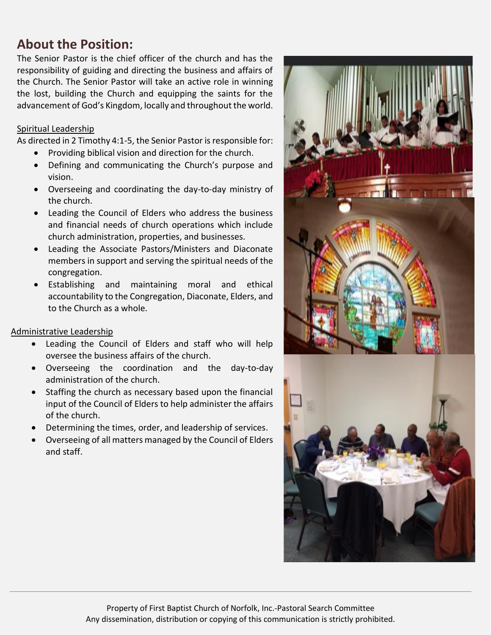## **About the Position:**

The Senior Pastor is the chief officer of the church and has the responsibility of guiding and directing the business and affairs of the Church. The Senior Pastor will take an active role in winning the lost, building the Church and equipping the saints for the advancement of God's Kingdom, locally and throughout the world.

#### Spiritual Leadership

As directed in 2 Timothy 4:1-5, the Senior Pastor is responsible for:

- Providing biblical vision and direction for the church.
- Defining and communicating the Church's purpose and vision.
- Overseeing and coordinating the day-to-day ministry of the church.
- Leading the Council of Elders who address the business and financial needs of church operations which include church administration, properties, and businesses.
- Leading the Associate Pastors/Ministers and Diaconate members in support and serving the spiritual needs of the congregation.
- Establishing and maintaining moral and ethical accountability to the Congregation, Diaconate, Elders, and to the Church as a whole.

#### Administrative Leadership

- Leading the Council of Elders and staff who will help oversee the business affairs of the church.
- Overseeing the coordination and the day-to-day administration of the church.
- Staffing the church as necessary based upon the financial input of the Council of Elders to help administer the affairs of the church.
- Determining the times, order, and leadership of services.
- Overseeing of all matters managed by the Council of Elders and staff.

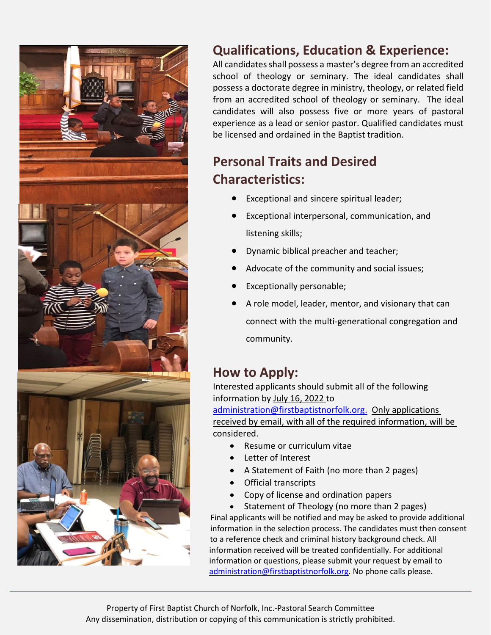

## **Qualifications, Education & Experience:**

All candidates shall possess a master's degree from an accredited school of theology or seminary. The ideal candidates shall possess a doctorate degree in ministry, theology, or related field from an accredited school of theology or seminary. The ideal candidates will also possess five or more years of pastoral experience as a lead or senior pastor. Qualified candidates must be licensed and ordained in the Baptist tradition.

# **Personal Traits and Desired Characteristics:**

- Exceptional and sincere spiritual leader;
- Exceptional interpersonal, communication, and listening skills;
- Dynamic biblical preacher and teacher;
- Advocate of the community and social issues;
- Exceptionally personable;
- A role model, leader, mentor, and visionary that can connect with the multi-generational congregation and community.

## **How to Apply:**

Interested applicants should submit all of the following information by July 16, 2022 to [administration@firstbaptistnorfolk.org.](mailto:administration@firstbaptistnorfolk.org) Only applications received by email, with all of the required information, will be considered.

- Resume or curriculum vitae
- Letter of Interest
- A Statement of Faith (no more than 2 pages)
- Official transcripts
- Copy of license and ordination papers
- Statement of Theology (no more than 2 pages)

 Final applicants will be notified and may be asked to provide additional information in the selection process. The candidates must then consent to a reference check and criminal history background check. All information received will be treated confidentially. For additional information or questions, please submit your request by email to [administration@firstbaptistnorfolk.org.](mailto:administration@firstbaptistnorfolk.org) No phone calls please.

Property of First Baptist Church of Norfolk, Inc.-Pastoral Search Committee Any dissemination, distribution or copying of this communication is strictly prohibited.